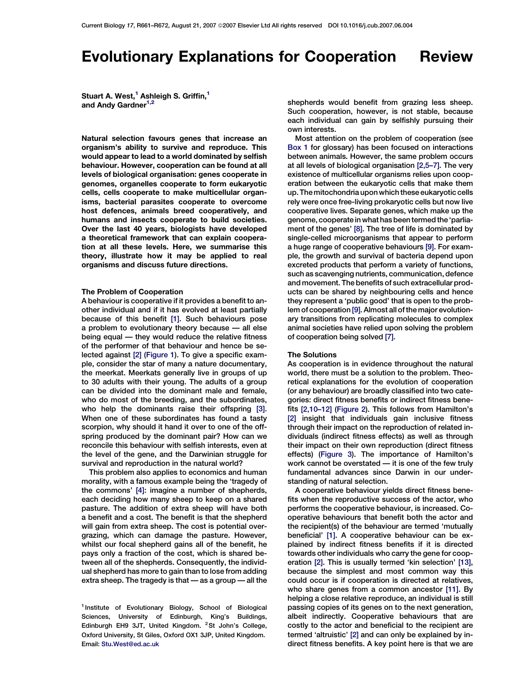# Evolutionary Explanations for Cooperation Review

Stuart A. West,<sup>1</sup> Ashleigh S. Griffin,<sup>1</sup> and Andy Gardner<sup>1,2</sup>

Natural selection favours genes that increase an organism's ability to survive and reproduce. This would appear to lead to a world dominated by selfish behaviour. However, cooperation can be found at all levels of biological organisation: genes cooperate in genomes, organelles cooperate to form eukaryotic cells, cells cooperate to make multicellular organisms, bacterial parasites cooperate to overcome host defences, animals breed cooperatively, and humans and insects cooperate to build societies. Over the last 40 years, biologists have developed a theoretical framework that can explain cooperation at all these levels. Here, we summarise this theory, illustrate how it may be applied to real organisms and discuss future directions.

### The Problem of Cooperation

A behaviour is cooperative if it provides a benefit to another individual and if it has evolved at least partially because of this benefit [\[1\]](#page-9-0). Such behaviours pose a problem to evolutionary theory because — all else being equal — they would reduce the relative fitness of the performer of that behaviour and hence be selected against [\[2\]](#page-9-0) ([Figure 1\)](#page-1-0). To give a specific example, consider the star of many a nature documentary, the meerkat. Meerkats generally live in groups of up to 30 adults with their young. The adults of a group can be divided into the dominant male and female, who do most of the breeding, and the subordinates, who help the dominants raise their offspring [\[3\]](#page-9-0). When one of these subordinates has found a tasty scorpion, why should it hand it over to one of the offspring produced by the dominant pair? How can we reconcile this behaviour with selfish interests, even at the level of the gene, and the Darwinian struggle for survival and reproduction in the natural world?

This problem also applies to economics and human morality, with a famous example being the 'tragedy of the commons' [\[4\]:](#page-9-0) imagine a number of shepherds, each deciding how many sheep to keep on a shared pasture. The addition of extra sheep will have both a benefit and a cost. The benefit is that the shepherd will gain from extra sheep. The cost is potential overgrazing, which can damage the pasture. However, whilst our focal shepherd gains all of the benefit, he pays only a fraction of the cost, which is shared between all of the shepherds. Consequently, the individual shepherd has more to gain than to lose from adding extra sheep. The tragedy is that — as a group — all the

<sup>1</sup> Institute of Evolutionary Biology, School of Biological Sciences, University of Edinburgh, King's Buildings, Edinburgh EH9 3JT, United Kingdom. <sup>2</sup>St John's College, Oxford University, St Giles, Oxford OX1 3JP, United Kingdom. Email: [Stu.West@ed.ac.uk](mailto:Stu.West@ed.ac.uk)

shepherds would benefit from grazing less sheep. Such cooperation, however, is not stable, because each individual can gain by selfishly pursuing their own interests.

Most attention on the problem of cooperation (see Box 1 for glossary) has been focused on interactions between animals. However, the same problem occurs at all levels of biological organisation [\[2,5–7\].](#page-9-0) The very existence of multicellular organisms relies upon cooperation between the eukaryotic cells that make them up.The mitochondria uponwhich these eukaryotic cells rely were once free-living prokaryotic cells but now live cooperative lives. Separate genes, which make up the genome, cooperate in what has been termed the'parliament of the genes' [\[8\]](#page-9-0). The tree of life is dominated by single-celled microorganisms that appear to perform a huge range of cooperative behaviours [\[9\]](#page-9-0). For example, the growth and survival of bacteria depend upon excreted products that perform a variety of functions, such as scavenging nutrients, communication, defence and movement. The benefits of such extracellular products can be shared by neighbouring cells and hence they represent a 'public good' that is open to the problem of cooperation [\[9\]](#page-9-0). Almost all of the major evolutionary transitions from replicating molecules to complex animal societies have relied upon solving the problem of cooperation being solved [\[7\].](#page-9-0)

## The Solutions

As cooperation is in evidence throughout the natural world, there must be a solution to the problem. Theoretical explanations for the evolution of cooperation (or any behaviour) are broadly classified into two categories: direct fitness benefits or indirect fitness benefits [\[2,10–12\]](#page-9-0) ([Figure 2](#page-2-0)). This follows from Hamilton's [\[2\]](#page-9-0) insight that individuals gain inclusive fitness through their impact on the reproduction of related individuals (indirect fitness effects) as well as through their impact on their own reproduction (direct fitness effects) [\(Figure 3](#page-2-0)). The importance of Hamilton's work cannot be overstated — it is one of the few truly fundamental advances since Darwin in our understanding of natural selection.

A cooperative behaviour yields direct fitness benefits when the reproductive success of the actor, who performs the cooperative behaviour, is increased. Cooperative behaviours that benefit both the actor and the recipient(s) of the behaviour are termed 'mutually beneficial' [\[1\]](#page-9-0). A cooperative behaviour can be explained by indirect fitness benefits if it is directed towards other individuals who carry the gene for cooperation [\[2\].](#page-9-0) This is usually termed 'kin selection' [\[13\],](#page-9-0) because the simplest and most common way this could occur is if cooperation is directed at relatives, who share genes from a common ancestor [\[11\]](#page-9-0). By helping a close relative reproduce, an individual is still passing copies of its genes on to the next generation, albeit indirectly. Cooperative behaviours that are costly to the actor and beneficial to the recipient are termed 'altruistic' [\[2\]](#page-9-0) and can only be explained by indirect fitness benefits. A key point here is that we are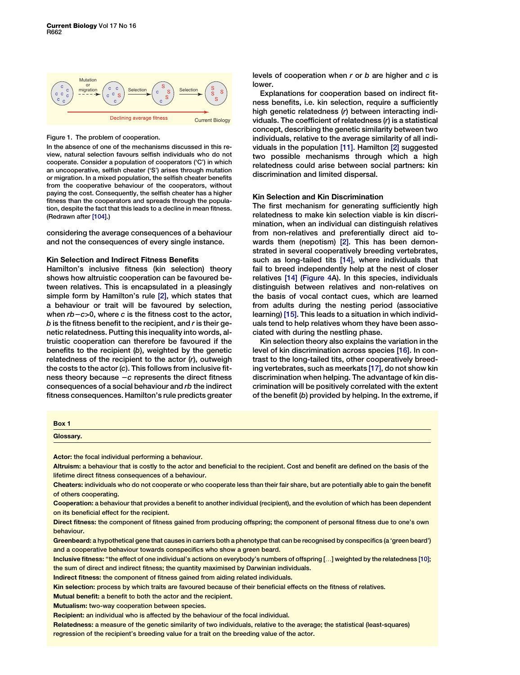<span id="page-1-0"></span>

#### Figure 1. The problem of cooperation.

In the absence of one of the mechanisms discussed in this review, natural selection favours selfish individuals who do not cooperate. Consider a population of cooperators ('C') in which an uncooperative, selfish cheater ('S') arises through mutation or migration. In a mixed population, the selfish cheater benefits from the cooperative behaviour of the cooperators, without paying the cost. Consequently, the selfish cheater has a higher fitness than the cooperators and spreads through the population, despite the fact that this leads to a decline in mean fitness. (Redrawn after [\[104\].](#page-10-0))

considering the average consequences of a behaviour and not the consequences of every single instance.

## Kin Selection and Indirect Fitness Benefits

Hamilton's inclusive fitness (kin selection) theory shows how altruistic cooperation can be favoured between relatives. This is encapsulated in a pleasingly simple form by Hamilton's rule [\[2\]](#page-9-0), which states that a behaviour or trait will be favoured by selection, when  $rb-c>0$ , where c is the fitness cost to the actor,  $b$  is the fitness benefit to the recipient, and  $r$  is their genetic relatedness. Putting this inequality into words, altruistic cooperation can therefore be favoured if the benefits to the recipient (b), weighted by the genetic relatedness of the recipient to the actor (r), outweigh the costs to the actor (c). This follows from inclusive fitness theory because  $-c$  represents the direct fitness consequences of a social behaviour and rb the indirect fitness consequences. Hamilton's rule predicts greater levels of cooperation when  $r$  or  $b$  are higher and  $c$  is lower.

Explanations for cooperation based on indirect fitness benefits, i.e. kin selection, require a sufficiently high genetic relatedness (r) between interacting individuals. The coefficient of relatedness (r) is a statistical concept, describing the genetic similarity between two individuals, relative to the average similarity of all individuals in the population [\[11\].](#page-9-0) Hamilton [\[2\]](#page-9-0) suggested two possible mechanisms through which a high relatedness could arise between social partners: kin discrimination and limited dispersal.

#### Kin Selection and Kin Discrimination

The first mechanism for generating sufficiently high relatedness to make kin selection viable is kin discrimination, when an individual can distinguish relatives from non-relatives and preferentially direct aid towards them (nepotism) [\[2\].](#page-9-0) This has been demonstrated in several cooperatively breeding vertebrates, such as long-tailed tits [\[14\]](#page-9-0), where individuals that fail to breed independently help at the nest of closer relatives [\[14\]](#page-9-0) [\(Figure 4A](#page-3-0)). In this species, individuals distinguish between relatives and non-relatives on the basis of vocal contact cues, which are learned from adults during the nesting period (associative learning) [\[15\]](#page-9-0). This leads to a situation in which individuals tend to help relatives whom they have been associated with during the nestling phase.

Kin selection theory also explains the variation in the level of kin discrimination across species [\[16\]](#page-9-0). In contrast to the long-tailed tits, other cooperatively breeding vertebrates, such as meerkats [\[17\]](#page-9-0), do not show kin discrimination when helping. The advantage of kin discrimination will be positively correlated with the extent of the benefit (b) provided by helping. In the extreme, if

| Box 1     |  |
|-----------|--|
| Glossary. |  |
|           |  |

Actor: the focal individual performing a behaviour.

Altruism: a behaviour that is costly to the actor and beneficial to the recipient. Cost and benefit are defined on the basis of the lifetime direct fitness consequences of a behaviour.

Cooperation: a behaviour that provides a benefit to another individual (recipient), and the evolution of which has been dependent on its beneficial effect for the recipient.

Direct fitness: the component of fitness gained from producing offspring; the component of personal fitness due to one's own behaviour.

Greenbeard: a hypothetical gene that causes in carriers both a phenotype that can be recognised by conspecifics (a 'green beard') and a cooperative behaviour towards conspecifics who show a green beard.

Inclusive fitness: "the effect of one individual's actions on everybody's numbers of offspring [...] weighted by the relatedness [\[10\]](#page-9-0); the sum of direct and indirect fitness; the quantity maximised by Darwinian individuals.

Indirect fitness: the component of fitness gained from aiding related individuals.

Kin selection: process by which traits are favoured because of their beneficial effects on the fitness of relatives.

Mutual benefit: a benefit to both the actor and the recipient.

Mutualism: two-way cooperation between species.

Recipient: an individual who is affected by the behaviour of the focal individual.

Relatedness: a measure of the genetic similarity of two individuals, relative to the average; the statistical (least-squares) regression of the recipient's breeding value for a trait on the breeding value of the actor.

Cheaters: individuals who do not cooperate or who cooperate less than their fair share, but are potentially able to gain the benefit of others cooperating.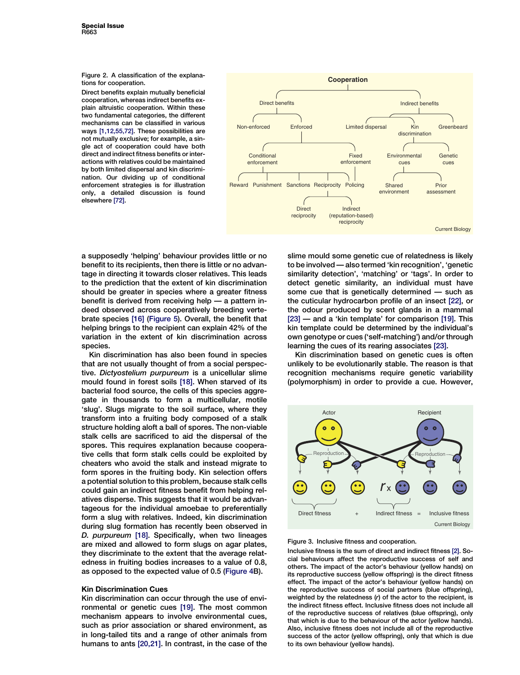#### <span id="page-2-0"></span>Figure 2. A classification of the explanations for cooperation.

Direct benefits explain mutually beneficial cooperation, whereas indirect benefits explain altruistic cooperation. Within these two fundamental categories, the different mechanisms can be classified in various ways [\[1,12,55,72\].](#page-9-0) These possibilities are not mutually exclusive; for example, a single act of cooperation could have both direct and indirect fitness benefits or interactions with relatives could be maintained by both limited dispersal and kin discrimination. Our dividing up of conditional enforcement strategies is for illustration only, a detailed discussion is found elsewhere [\[72\]](#page-10-0).



a supposedly 'helping' behaviour provides little or no benefit to its recipients, then there is little or no advantage in directing it towards closer relatives. This leads to the prediction that the extent of kin discrimination should be greater in species where a greater fitness benefit is derived from receiving help — a pattern indeed observed across cooperatively breeding vertebrate species [\[16\]](#page-9-0) ([Figure 5](#page-3-0)). Overall, the benefit that helping brings to the recipient can explain 42% of the variation in the extent of kin discrimination across species.

Kin discrimination has also been found in species that are not usually thought of from a social perspective. Dictyostelium purpureum is a unicellular slime mould found in forest soils [\[18\]](#page-9-0). When starved of its bacterial food source, the cells of this species aggregate in thousands to form a multicellular, motile 'slug'. Slugs migrate to the soil surface, where they transform into a fruiting body composed of a stalk structure holding aloft a ball of spores. The non-viable stalk cells are sacrificed to aid the dispersal of the spores. This requires explanation because cooperative cells that form stalk cells could be exploited by cheaters who avoid the stalk and instead migrate to form spores in the fruiting body. Kin selection offers a potential solution to this problem, because stalk cells could gain an indirect fitness benefit from helping relatives disperse. This suggests that it would be advantageous for the individual amoebae to preferentially form a slug with relatives. Indeed, kin discrimination during slug formation has recently been observed in D. purpureum [\[18\].](#page-9-0) Specifically, when two lineages are mixed and allowed to form slugs on agar plates, they discriminate to the extent that the average relatedness in fruiting bodies increases to a value of 0.8, as opposed to the expected value of 0.5 [\(Figure 4](#page-3-0)B).

# Kin Discrimination Cues

Kin discrimination can occur through the use of environmental or genetic cues [\[19\].](#page-9-0) The most common mechanism appears to involve environmental cues, such as prior association or shared environment, as in long-tailed tits and a range of other animals from humans to ants [\[20,21\].](#page-9-0) In contrast, in the case of the slime mould some genetic cue of relatedness is likely to be involved — also termed 'kin recognition', 'genetic similarity detection', 'matching' or 'tags'. In order to detect genetic similarity, an individual must have some cue that is genetically determined — such as the cuticular hydrocarbon profile of an insect [\[22\]](#page-9-0), or the odour produced by scent glands in a mammal [\[23\]](#page-9-0) — and a 'kin template' for comparison [\[19\].](#page-9-0) This kin template could be determined by the individual's own genotype or cues ('self-matching') and/or through learning the cues of its rearing associates [\[23\]](#page-9-0).

Kin discrimination based on genetic cues is often unlikely to be evolutionarily stable. The reason is that recognition mechanisms require genetic variability (polymorphism) in order to provide a cue. However,





Inclusive fitness is the sum of direct and indirect fitness [\[2\].](#page-9-0) Social behaviours affect the reproductive success of self and others. The impact of the actor's behaviour (yellow hands) on its reproductive success (yellow offspring) is the direct fitness effect. The impact of the actor's behaviour (yellow hands) on the reproductive success of social partners (blue offspring), weighted by the relatedness  $(r)$  of the actor to the recipient, is the indirect fitness effect. Inclusive fitness does not include all of the reproductive success of relatives (blue offspring), only that which is due to the behaviour of the actor (yellow hands). Also, inclusive fitness does not include all of the reproductive success of the actor (yellow offspring), only that which is due to its own behaviour (yellow hands).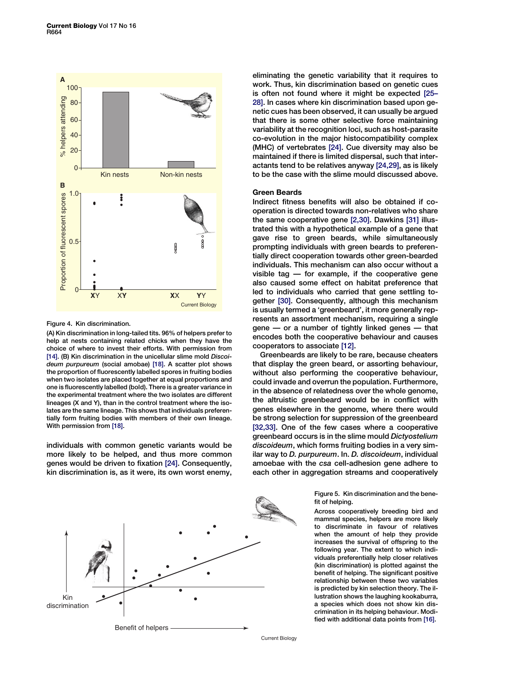<span id="page-3-0"></span>

## Figure 4. Kin discrimination.

(A) Kin discrimination in long-tailed tits. 96% of helpers prefer to help at nests containing related chicks when they have the choice of where to invest their efforts. With permission from [\[14\].](#page-9-0) (B) Kin discrimination in the unicellular slime mold Discoi-deum purpureum (social amobae) [\[18\].](#page-9-0) A scatter plot shows the proportion of fluorescently labelled spores in fruiting bodies when two isolates are placed together at equal proportions and one is fluorescently labelled (bold). There is a greater variance in the experimental treatment where the two isolates are different lineages (X and Y), than in the control treatment where the isolates are the same lineage. This shows that individuals preferentially form fruiting bodies with members of their own lineage. With permission from [\[18\].](#page-9-0)

individuals with common genetic variants would be more likely to be helped, and thus more common genes would be driven to fixation [\[24\]](#page-9-0). Consequently, kin discrimination is, as it were, its own worst enemy,



eliminating the genetic variability that it requires to work. Thus, kin discrimination based on genetic cues is often not found where it might be expected [\[25–](#page-9-0) [28\]](#page-9-0). In cases where kin discrimination based upon genetic cues has been observed, it can usually be argued that there is some other selective force maintaining variability at the recognition loci, such as host-parasite co-evolution in the major histocompatibility complex (MHC) of vertebrates [\[24\]](#page-9-0). Cue diversity may also be maintained if there is limited dispersal, such that interactants tend to be relatives anyway [\[24,29\]](#page-9-0), as is likely to be the case with the slime mould discussed above.

## Green Beards

Indirect fitness benefits will also be obtained if cooperation is directed towards non-relatives who share the same cooperative gene [\[2,30\].](#page-9-0) Dawkins [\[31\]](#page-9-0) illustrated this with a hypothetical example of a gene that gave rise to green beards, while simultaneously prompting individuals with green beards to preferentially direct cooperation towards other green-bearded individuals. This mechanism can also occur without a visible tag — for example, if the cooperative gene also caused some effect on habitat preference that led to individuals who carried that gene settling together [\[30\]](#page-9-0). Consequently, although this mechanism is usually termed a 'greenbeard', it more generally represents an assortment mechanism, requiring a single gene — or a number of tightly linked genes — that encodes both the cooperative behaviour and causes cooperators to associate [\[12\].](#page-9-0)

Greenbeards are likely to be rare, because cheaters that display the green beard, or assorting behaviour, without also performing the cooperative behaviour, could invade and overrun the population. Furthermore, in the absence of relatedness over the whole genome, the altruistic greenbeard would be in conflict with genes elsewhere in the genome, where there would be strong selection for suppression of the greenbeard [\[32,33\].](#page-9-0) One of the few cases where a cooperative greenbeard occurs is in the slime mould Dictyostelium discoideum, which forms fruiting bodies in a very similar way to D. purpureum. In. D. discoideum, individual amoebae with the csa cell-adhesion gene adhere to each other in aggregation streams and cooperatively

> Figure 5. Kin discrimination and the benefit of helping.

> Across cooperatively breeding bird and mammal species, helpers are more likely to discriminate in favour of relatives when the amount of help they provide increases the survival of offspring to the following year. The extent to which individuals preferentially help closer relatives (kin discrimination) is plotted against the benefit of helping. The significant positive relationship between these two variables is predicted by kin selection theory. The illustration shows the laughing kookaburra, a species which does not show kin discrimination in its helping behaviour. Modified with additional data points from [\[16\]](#page-9-0).

Current Biology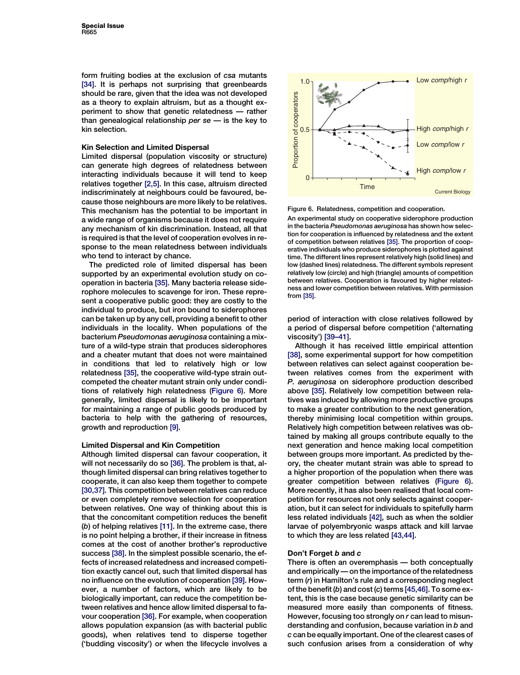<span id="page-4-0"></span>form fruiting bodies at the exclusion of csa mutants [\[34\]](#page-9-0). It is perhaps not surprising that greenbeards should be rare, given that the idea was not developed as a theory to explain altruism, but as a thought experiment to show that genetic relatedness — rather than genealogical relationship per se — is the key to kin selection.

# Kin Selection and Limited Dispersal

Limited dispersal (population viscosity or structure) can generate high degrees of relatedness between interacting individuals because it will tend to keep relatives together [\[2,5\].](#page-9-0) In this case, altruism directed indiscriminately at neighbours could be favoured, because those neighbours are more likely to be relatives. This mechanism has the potential to be important in a wide range of organisms because it does not require any mechanism of kin discrimination. Instead, all that is required is that the level of cooperation evolves in response to the mean relatedness between individuals who tend to interact by chance.

The predicted role of limited dispersal has been supported by an experimental evolution study on cooperation in bacteria [\[35\]](#page-9-0). Many bacteria release siderophore molecules to scavenge for iron. These represent a cooperative public good: they are costly to the individual to produce, but iron bound to siderophores can be taken up by any cell, providing a benefit to other individuals in the locality. When populations of the bacterium Pseudomonas aeruginosa containing a mixture of a wild-type strain that produces siderophores and a cheater mutant that does not were maintained in conditions that led to relatively high or low relatedness [\[35\],](#page-9-0) the cooperative wild-type strain outcompeted the cheater mutant strain only under conditions of relatively high relatedness (Figure 6). More generally, limited dispersal is likely to be important for maintaining a range of public goods produced by bacteria to help with the gathering of resources, growth and reproduction [\[9\]](#page-9-0).

# Limited Dispersal and Kin Competition

Although limited dispersal can favour cooperation, it will not necessarily do so [\[36\]](#page-9-0). The problem is that, although limited dispersal can bring relatives together to cooperate, it can also keep them together to compete [\[30,37\]](#page-9-0). This competition between relatives can reduce or even completely remove selection for cooperation between relatives. One way of thinking about this is that the concomitant competition reduces the benefit (b) of helping relatives [\[11\]](#page-9-0). In the extreme case, there is no point helping a brother, if their increase in fitness comes at the cost of another brother's reproductive success [\[38\].](#page-9-0) In the simplest possible scenario, the effects of increased relatedness and increased competition exactly cancel out, such that limited dispersal has no influence on the evolution of cooperation [\[39\]](#page-9-0). However, a number of factors, which are likely to be biologically important, can reduce the competition between relatives and hence allow limited dispersal to favour cooperation [\[36\]](#page-9-0). For example, when cooperation allows population expansion (as with bacterial public goods), when relatives tend to disperse together ('budding viscosity') or when the lifecycle involves a



Figure 6. Relatedness, competition and cooperation.

An experimental study on cooperative siderophore production in the bacteria Pseudomonas aeruginosa has shown how selection for cooperation is influenced by relatedness and the extent of competition between relatives [\[35\].](#page-9-0) The proportion of cooperative individuals who produce siderophores is plotted against time. The different lines represent relatively high (solid lines) and low (dashed lines) relatedness. The different symbols represent relatively low (circle) and high (triangle) amounts of competition between relatives. Cooperation is favoured by higher relatedness and lower competition between relatives. With permission from [\[35\]](#page-9-0).

period of interaction with close relatives followed by a period of dispersal before competition ('alternating viscosity') [\[39–41\]](#page-9-0).

Although it has received little empirical attention [\[38\]](#page-9-0), some experimental support for how competition between relatives can select against cooperation between relatives comes from the experiment with P. aeruginosa on siderophore production described above [\[35\]](#page-9-0). Relatively low competition between relatives was induced by allowing more productive groups to make a greater contribution to the next generation, thereby minimising local competition within groups. Relatively high competition between relatives was obtained by making all groups contribute equally to the next generation and hence making local competition between groups more important. As predicted by theory, the cheater mutant strain was able to spread to a higher proportion of the population when there was greater competition between relatives (Figure 6). More recently, it has also been realised that local competition for resources not only selects against cooperation, but it can select for individuals to spitefully harm less related individuals [\[42\]](#page-9-0), such as when the soldier larvae of polyembryonic wasps attack and kill larvae to which they are less related [\[43,44\].](#page-9-0) such confusion arises from a computation of computer arises from a consideration of the more arises from a consideration of consideration of consideration of consideration of consideration of consideration of consideration

# Don't Forget b and c

There is often an overemphasis — both conceptually and empirically — on the importance of the relatedness term (r) in Hamilton's rule and a corresponding neglect of the benefit (b) and cost (c) terms [\[45,46\].](#page-9-0) To some extent, this is the case because genetic similarity can be measured more easily than components of fitness. However, focusing too strongly on r can lead to misunderstanding and confusion, because variation in b and c can be equally important. One of the clearest cases of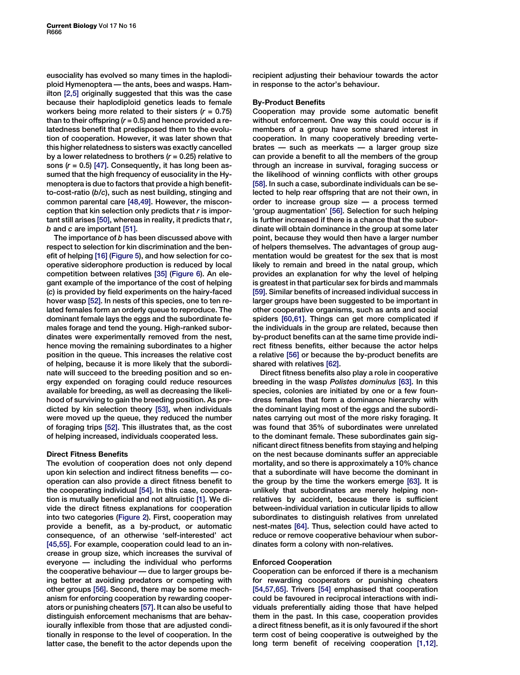eusociality has evolved so many times in the haplodiploid Hymenoptera — the ants, bees and wasps. Hamilton [\[2,5\]](#page-9-0) originally suggested that this was the case because their haplodiploid genetics leads to female workers being more related to their sisters  $(r = 0.75)$ than to their offspring  $(r = 0.5)$  and hence provided a relatedness benefit that predisposed them to the evolution of cooperation. However, it was later shown that this higher relatedness to sisters was exactly cancelled by a lower relatedness to brothers  $(r = 0.25)$  relative to sons  $(r = 0.5)$  [\[47\].](#page-9-0) Consequently, it has long been assumed that the high frequency of eusociality in the Hymenoptera is due to factors that provide a high benefitto-cost-ratio (b/c), such as nest building, stinging and common parental care [\[48,49\]](#page-9-0). However, the misconception that kin selection only predicts that  $r$  is important still arises  $[50]$ , whereas in reality, it predicts that  $r$ , b and c are important [\[51\]](#page-9-0).

The importance of b has been discussed above with respect to selection for kin discrimination and the benefit of helping [\[16\]](#page-9-0) [\(Figure 5](#page-3-0)), and how selection for cooperative siderophore production is reduced by local competition between relatives [\[35\]](#page-9-0) [\(Figure 6](#page-4-0)). An elegant example of the importance of the cost of helping (c) is provided by field experiments on the hairy-faced hover wasp [\[52\].](#page-9-0) In nests of this species, one to ten related females form an orderly queue to reproduce. The dominant female lays the eggs and the subordinate females forage and tend the young. High-ranked subordinates were experimentally removed from the nest, hence moving the remaining subordinates to a higher position in the queue. This increases the relative cost of helping, because it is more likely that the subordinate will succeed to the breeding position and so energy expended on foraging could reduce resources available for breeding, as well as decreasing the likelihood of surviving to gain the breeding position. As predicted by kin selection theory [\[53\]](#page-10-0), when individuals were moved up the queue, they reduced the number of foraging trips [\[52\]](#page-9-0). This illustrates that, as the cost of helping increased, individuals cooperated less.

# Direct Fitness Benefits

The evolution of cooperation does not only depend upon kin selection and indirect fitness benefits — cooperation can also provide a direct fitness benefit to the cooperating individual [\[54\]](#page-10-0). In this case, cooperation is mutually beneficial and not altruistic [\[1\].](#page-9-0) We divide the direct fitness explanations for cooperation into two categories [\(Figure 2](#page-2-0)). First, cooperation may provide a benefit, as a by-product, or automatic consequence, of an otherwise 'self-interested' act [\[45,55\].](#page-9-0) For example, cooperation could lead to an increase in group size, which increases the survival of everyone — including the individual who performs the cooperative behaviour — due to larger groups being better at avoiding predators or competing with other groups [\[56\]](#page-10-0). Second, there may be some mechanism for enforcing cooperation by rewarding cooperators or punishing cheaters [\[57\]](#page-10-0). It can also be useful to distinguish enforcement mechanisms that are behaviourally inflexible from those that are adjusted conditionally in response to the level of cooperation. In the latter case, the benefit to the actor depends upon the recipient adjusting their behaviour towards the actor in response to the actor's behaviour.

# By-Product Benefits

Cooperation may provide some automatic benefit without enforcement. One way this could occur is if members of a group have some shared interest in cooperation. In many cooperatively breeding vertebrates — such as meerkats — a larger group size can provide a benefit to all the members of the group through an increase in survival, foraging success or the likelihood of winning conflicts with other groups [\[58\].](#page-10-0) In such a case, subordinate individuals can be selected to help rear offspring that are not their own, in order to increase group size — a process termed 'group augmentation' [\[56\]](#page-10-0). Selection for such helping is further increased if there is a chance that the subordinate will obtain dominance in the group at some later point, because they would then have a larger number of helpers themselves. The advantages of group augmentation would be greatest for the sex that is most likely to remain and breed in the natal group, which provides an explanation for why the level of helping is greatest in that particular sex for birds and mammals [\[59\].](#page-10-0) Similar benefits of increased individual success in larger groups have been suggested to be important in other cooperative organisms, such as ants and social spiders [\[60,61\]](#page-10-0). Things can get more complicated if the individuals in the group are related, because then by-product benefits can at the same time provide indirect fitness benefits, either because the actor helps a relative [\[56\]](#page-10-0) or because the by-product benefits are shared with relatives [\[62\]](#page-10-0).

Direct fitness benefits also play a role in cooperative breeding in the wasp Polistes dominulus [\[63\]](#page-10-0). In this species, colonies are initiated by one or a few foundress females that form a dominance hierarchy with the dominant laying most of the eggs and the subordinates carrying out most of the more risky foraging. It was found that 35% of subordinates were unrelated to the dominant female. These subordinates gain significant direct fitness benefits from staying and helping on the nest because dominants suffer an appreciable mortality, and so there is approximately a 10% chance that a subordinate will have become the dominant in the group by the time the workers emerge [\[63\].](#page-10-0) It is unlikely that subordinates are merely helping nonrelatives by accident, because there is sufficient between-individual variation in cuticular lipids to allow subordinates to distinguish relatives from unrelated nest-mates [\[64\]](#page-10-0). Thus, selection could have acted to reduce or remove cooperative behaviour when subordinates form a colony with non-relatives.

## Enforced Cooperation

Cooperation can be enforced if there is a mechanism for rewarding cooperators or punishing cheaters [\[54,57,65\].](#page-10-0) Trivers [\[54\]](#page-10-0) emphasised that cooperation could be favoured in reciprocal interactions with individuals preferentially aiding those that have helped them in the past. In this case, cooperation provides a direct fitness benefit, as it is only favoured if the short term cost of being cooperative is outweighed by the long term benefit of receiving cooperation [\[1,12\].](#page-9-0)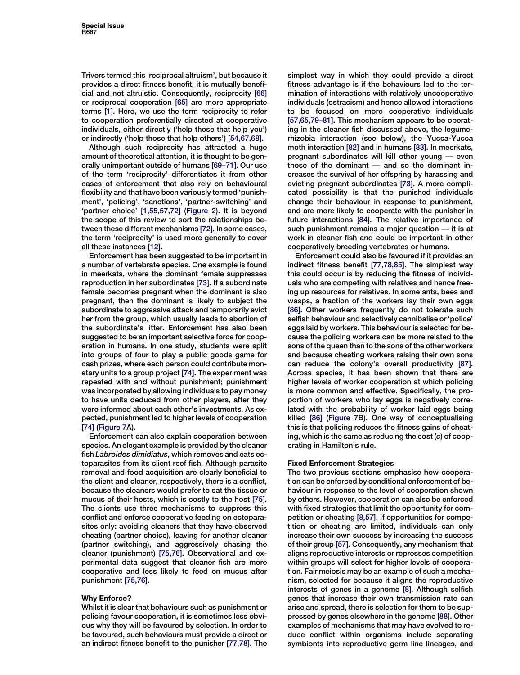Trivers termed this 'reciprocal altruism', but because it provides a direct fitness benefit, it is mutually beneficial and not altruistic. Consequently, reciprocity [\[66\]](#page-10-0) or reciprocal cooperation [\[65\]](#page-10-0) are more appropriate terms [\[1\]](#page-9-0). Here, we use the term reciprocity to refer to cooperation preferentially directed at cooperative individuals, either directly ('help those that help you') or indirectly ('help those that help others') [\[54,67,68\].](#page-10-0)

Although such reciprocity has attracted a huge amount of theoretical attention, it is thought to be generally unimportant outside of humans [\[69–71\]](#page-10-0). Our use of the term 'reciprocity' differentiates it from other cases of enforcement that also rely on behavioural flexibility and that have been variously termed 'punishment', 'policing', 'sanctions', 'partner-switching' and 'partner choice' [\[1,55,57,72\]](#page-9-0) [\(Figure 2](#page-2-0)). It is beyond the scope of this review to sort the relationships between these different mechanisms [\[72\].](#page-10-0) In some cases, the term 'reciprocity' is used more generally to cover all these instances [\[12\]](#page-9-0).

Enforcement has been suggested to be important in a number of vertebrate species. One example is found in meerkats, where the dominant female suppresses reproduction in her subordinates [\[73\].](#page-10-0) If a subordinate female becomes pregnant when the dominant is also pregnant, then the dominant is likely to subject the subordinate to aggressive attack and temporarily evict her from the group, which usually leads to abortion of the subordinate's litter. Enforcement has also been suggested to be an important selective force for cooperation in humans. In one study, students were split into groups of four to play a public goods game for cash prizes, where each person could contribute monetary units to a group project [\[74\]](#page-10-0). The experiment was repeated with and without punishment; punishment was incorporated by allowing individuals to pay money to have units deduced from other players, after they were informed about each other's investments. As expected, punishment led to higher levels of cooperation [\[74\]](#page-10-0) [\(Figure 7A](#page-7-0)).

Enforcement can also explain cooperation between species. An elegant example is provided by the cleaner fish Labroides dimidiatus, which removes and eats ectoparasites from its client reef fish. Although parasite removal and food acquisition are clearly beneficial to the client and cleaner, respectively, there is a conflict, because the cleaners would prefer to eat the tissue or mucus of their hosts, which is costly to the host [\[75\]](#page-10-0). The clients use three mechanisms to suppress this conflict and enforce cooperative feeding on ectoparasites only: avoiding cleaners that they have observed cheating (partner choice), leaving for another cleaner (partner switching), and aggressively chasing the cleaner (punishment) [\[75,76\]](#page-10-0). Observational and experimental data suggest that cleaner fish are more cooperative and less likely to feed on mucus after punishment [\[75,76\]](#page-10-0).

# Why Enforce?

Whilst it is clear that behaviours such as punishment or policing favour cooperation, it is sometimes less obvious why they will be favoured by selection. In order to be favoured, such behaviours must provide a direct or an indirect fitness benefit to the punisher [\[77,78\].](#page-10-0) The simplest way in which they could provide a direct fitness advantage is if the behaviours led to the termination of interactions with relatively uncooperative individuals (ostracism) and hence allowed interactions to be focused on more cooperative individuals [\[57,65,79–81\].](#page-10-0) This mechanism appears to be operating in the cleaner fish discussed above, the legumerhizobia interaction (see below), the Yucca-Yucca moth interaction [\[82\]](#page-10-0) and in humans [\[83\].](#page-10-0) In meerkats, pregnant subordinates will kill other young — even those of the dominant — and so the dominant increases the survival of her offspring by harassing and evicting pregnant subordinates [\[73\]](#page-10-0). A more complicated possibility is that the punished individuals change their behaviour in response to punishment, and are more likely to cooperate with the punisher in future interactions [\[84\]](#page-10-0). The relative importance of such punishment remains a major question — it is at work in cleaner fish and could be important in other cooperatively breeding vertebrates or humans.

Enforcement could also be favoured if it provides an indirect fitness benefit [\[77,78,85\]](#page-10-0). The simplest way this could occur is by reducing the fitness of individuals who are competing with relatives and hence freeing up resources for relatives. In some ants, bees and wasps, a fraction of the workers lay their own eggs [\[86\]](#page-10-0). Other workers frequently do not tolerate such selfish behaviour and selectively cannibalise or 'police' eggs laid by workers. This behaviour is selected for because the policing workers can be more related to the sons of the queen than to the sons of the other workers and because cheating workers raising their own sons can reduce the colony's overall productivity [\[87\].](#page-10-0) Across species, it has been shown that there are higher levels of worker cooperation at which policing is more common and effective. Specifically, the proportion of workers who lay eggs is negatively correlated with the probability of worker laid eggs being killed [\[86\]](#page-10-0) [\(Figure 7B](#page-7-0)). One way of conceptualising this is that policing reduces the fitness gains of cheating, which is the same as reducing the cost (c) of cooperating in Hamilton's rule.

# Fixed Enforcement Strategies

The two previous sections emphasise how cooperation can be enforced by conditional enforcement of behaviour in response to the level of cooperation shown by others. However, cooperation can also be enforced with fixed strategies that limit the opportunity for competition or cheating [\[8,57\]](#page-9-0). If opportunities for competition or cheating are limited, individuals can only increase their own success by increasing the success of their group [\[57\]](#page-10-0). Consequently, any mechanism that aligns reproductive interests or represses competition within groups will select for higher levels of cooperation. Fair meiosis may be an example of such a mechanism, selected for because it aligns the reproductive interests of genes in a genome [\[8\]](#page-9-0). Although selfish genes that increase their own transmission rate can arise and spread, there is selection for them to be suppressed by genes elsewhere in the genome [\[88\]](#page-10-0). Other examples of mechanisms that may have evolved to reduce conflict within organisms include separating symbionts into reproductive germ line lineages, and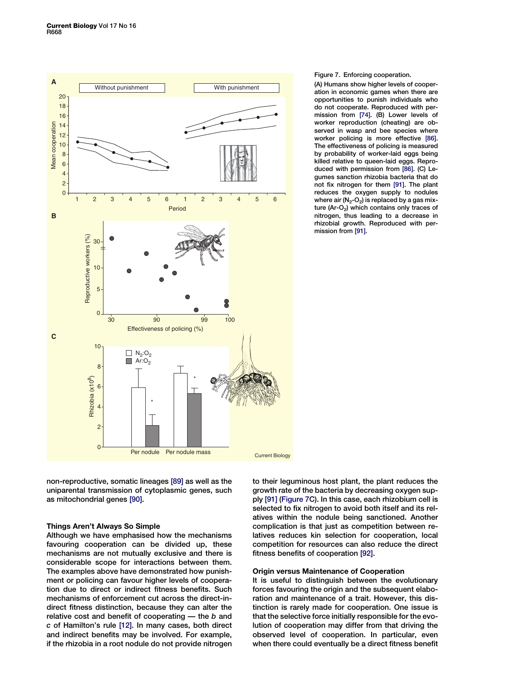<span id="page-7-0"></span>

Figure 7. Enforcing cooperation.

(A) Humans show higher levels of cooperation in economic games when there are opportunities to punish individuals who do not cooperate. Reproduced with permission from [\[74\].](#page-10-0) (B) Lower levels of worker reproduction (cheating) are observed in wasp and bee species where worker policing is more effective [\[86\]](#page-10-0). The effectiveness of policing is measured by probability of worker-laid eggs being killed relative to queen-laid eggs. Reproduced with permission from [\[86\]](#page-10-0). (C) Legumes sanction rhizobia bacteria that do not fix nitrogen for them [\[91\]](#page-10-0). The plant reduces the oxygen supply to nodules where air  $(N_2-O_2)$  is replaced by a gas mixture ( $Ar-O<sub>2</sub>$ ) which contains only traces of nitrogen, thus leading to a decrease in rhizobial growth. Reproduced with per-mission from [\[91\]](#page-10-0).

non-reproductive, somatic lineages [\[89\]](#page-10-0) as well as the uniparental transmission of cytoplasmic genes, such as mitochondrial genes [\[90\].](#page-10-0)

# Things Aren't Always So Simple

Although we have emphasised how the mechanisms favouring cooperation can be divided up, these mechanisms are not mutually exclusive and there is considerable scope for interactions between them. The examples above have demonstrated how punishment or policing can favour higher levels of cooperation due to direct or indirect fitness benefits. Such mechanisms of enforcement cut across the direct-indirect fitness distinction, because they can alter the relative cost and benefit of cooperating  $-$  the  $b$  and c of Hamilton's rule [\[12\].](#page-9-0) In many cases, both direct and indirect benefits may be involved. For example, if the rhizobia in a root nodule do not provide nitrogen

to their leguminous host plant, the plant reduces the growth rate of the bacteria by decreasing oxygen supply [\[91\]](#page-10-0) (Figure 7C). In this case, each rhizobium cell is selected to fix nitrogen to avoid both itself and its relatives within the nodule being sanctioned. Another complication is that just as competition between relatives reduces kin selection for cooperation, local competition for resources can also reduce the direct fitness benefits of cooperation [\[92\].](#page-10-0)

# Origin versus Maintenance of Cooperation

It is useful to distinguish between the evolutionary forces favouring the origin and the subsequent elaboration and maintenance of a trait. However, this distinction is rarely made for cooperation. One issue is that the selective force initially responsible for the evolution of cooperation may differ from that driving the observed level of cooperation. In particular, even when there could eventually be a direct fitness benefit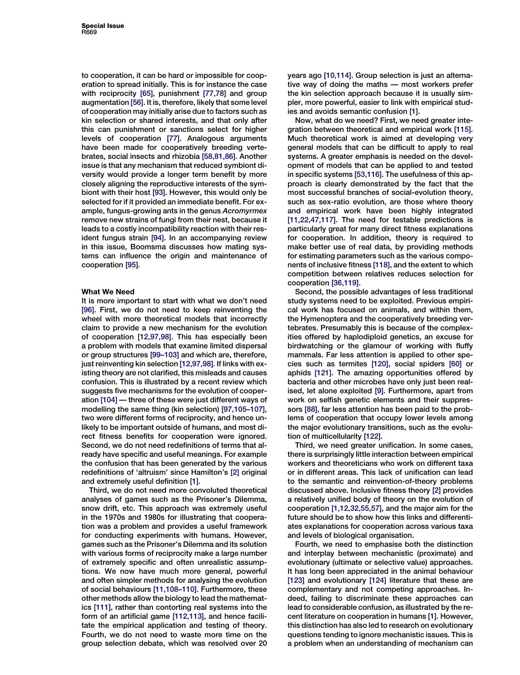to cooperation, it can be hard or impossible for cooperation to spread initially. This is for instance the case with reciprocity [\[65\]](#page-10-0), punishment [\[77,78\]](#page-10-0) and group augmentation [\[56\]](#page-10-0). It is, therefore, likely that some level of cooperation may initially arise due to factors such as kin selection or shared interests, and that only after this can punishment or sanctions select for higher levels of cooperation [\[77\]](#page-10-0). Analogous arguments have been made for cooperatively breeding vertebrates, social insects and rhizobia [\[58,81,86\]](#page-10-0). Another issue is that any mechanism that reduced symbiont diversity would provide a longer term benefit by more closely aligning the reproductive interests of the symbiont with their host [\[93\].](#page-10-0) However, this would only be selected for if it provided an immediate benefit. For example, fungus-growing ants in the genus Acromyrmex remove new strains of fungi from their nest, because it leads to a costly incompatibility reaction with their resident fungus strain [\[94\]](#page-10-0). In an accompanying review in this issue, Boomsma discusses how mating systems can influence the origin and maintenance of cooperation [\[95\]](#page-10-0).

# What We Need

It is more important to start with what we don't need [\[96\]](#page-10-0). First, we do not need to keep reinventing the wheel with more theoretical models that incorrectly claim to provide a new mechanism for the evolution of cooperation [\[12,97,98\].](#page-9-0) This has especially been a problem with models that examine limited dispersal or group structures [\[99–103\]](#page-10-0) and which are, therefore, just reinventing kin selection [\[12,97,98\]](#page-9-0). If links with existing theory are not clarified, this misleads and causes confusion. This is illustrated by a recent review which suggests five mechanisms for the evolution of cooperation [\[104\]](#page-10-0) — three of these were just different ways of modelling the same thing (kin selection) [\[97,105–107\]](#page-10-0), two were different forms of reciprocity, and hence unlikely to be important outside of humans, and most direct fitness benefits for cooperation were ignored. Second, we do not need redefinitions of terms that already have specific and useful meanings. For example the confusion that has been generated by the various redefinitions of 'altruism' since Hamilton's [\[2\]](#page-9-0) original and extremely useful definition [\[1\]](#page-9-0).

Third, we do not need more convoluted theoretical analyses of games such as the Prisoner's Dilemma, snow drift, etc. This approach was extremely useful in the 1970s and 1980s for illustrating that cooperation was a problem and provides a useful framework for conducting experiments with humans. However, games such as the Prisoner's Dilemma and its solution with various forms of reciprocity make a large number of extremely specific and often unrealistic assumptions. We now have much more general, powerful and often simpler methods for analysing the evolution of social behaviours [\[11,108–110\]](#page-9-0). Furthermore, these other methods allow the biology to lead the mathematics [\[111\],](#page-10-0) rather than contorting real systems into the form of an artificial game [\[112,113\],](#page-10-0) and hence facilitate the empirical application and testing of theory. Fourth, we do not need to waste more time on the group selection debate, which was resolved over 20 years ago [\[10,114\].](#page-9-0) Group selection is just an alternative way of doing the maths — most workers prefer the kin selection approach because it is usually simpler, more powerful, easier to link with empirical studies and avoids semantic confusion [\[1\]](#page-9-0).

Now, what do we need? First, we need greater integration between theoretical and empirical work [\[115\].](#page-10-0) Much theoretical work is aimed at developing very general models that can be difficult to apply to real systems. A greater emphasis is needed on the development of models that can be applied to and tested in specific systems [\[53,116\].](#page-10-0) The usefulness of this approach is clearly demonstrated by the fact that the most successful branches of social-evolution theory, such as sex-ratio evolution, are those where theory and empirical work have been highly integrated [\[11,22,47,117\].](#page-9-0) The need for testable predictions is particularly great for many direct fitness explanations for cooperation. In addition, theory is required to make better use of real data, by providing methods for estimating parameters such as the various components of inclusive fitness [\[118\]](#page-11-0), and the extent to which competition between relatives reduces selection for cooperation [\[36,119\]](#page-9-0).

Second, the possible advantages of less traditional study systems need to be exploited. Previous empirical work has focused on animals, and within them, the Hymenoptera and the cooperatively breeding vertebrates. Presumably this is because of the complexities offered by haplodiploid genetics, an excuse for birdwatching or the glamour of working with fluffy mammals. Far less attention is applied to other species such as termites [\[120\],](#page-11-0) social spiders [\[60\]](#page-10-0) or aphids [\[121\].](#page-11-0) The amazing opportunities offered by bacteria and other microbes have only just been realised, let alone exploited [\[9\].](#page-9-0) Furthermore, apart from work on selfish genetic elements and their suppressors [\[88\]](#page-10-0), far less attention has been paid to the problems of cooperation that occupy lower levels among the major evolutionary transitions, such as the evolution of multicellularity [\[122\].](#page-11-0)

Third, we need greater unification. In some cases, there is surprisingly little interaction between empirical workers and theoreticians who work on different taxa or in different areas. This lack of unification can lead to the semantic and reinvention-of-theory problems discussed above. Inclusive fitness theory [\[2\]](#page-9-0) provides a relatively unified body of theory on the evolution of cooperation [\[1,12,32,55,57\],](#page-9-0) and the major aim for the future should be to show how this links and differentiates explanations for cooperation across various taxa and levels of biological organisation.

Fourth, we need to emphasise both the distinction and interplay between mechanistic (proximate) and evolutionary (ultimate or selective value) approaches. It has long been appreciated in the animal behaviour [\[123\]](#page-11-0) and evolutionary [\[124\]](#page-11-0) literature that these are complementary and not competing approaches. Indeed, failing to discriminate these approaches can lead to considerable confusion, as illustrated by the recent literature on cooperation in humans [\[1\].](#page-9-0) However, this distinction has also led to research on evolutionary questions tending to ignore mechanistic issues. This is a problem when an understanding of mechanism can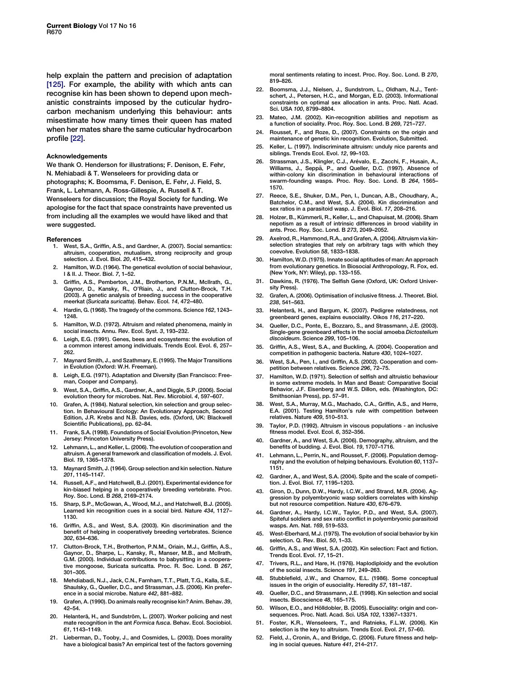<span id="page-9-0"></span>help explain the pattern and precision of adaptation [\[125\].](#page-11-0) For example, the ability with which ants can recognise kin has been shown to depend upon mechanistic constraints imposed by the cuticular hydrocarbon mechanism underlying this behaviour: ants misestimate how many times their queen has mated when her mates share the same cuticular hydrocarbon profile [22].

#### Acknowledgements

We thank O. Henderson for illustrations; F. Denison, E. Fehr, N. Mehiabadi & T. Wenseleers for providing data or photographs; K. Boomsma, F. Denison, E. Fehr, J. Field, S.

Frank, L. Lehmann, A. Ross-Gillespie, A. Russell & T. Wenseleers for discussion; the Royal Society for funding. We apologise for the fact that space constraints have prevented us from including all the examples we would have liked and that were suggested.

#### References

- 1. West, S.A., Griffin, A.S., and Gardner, A. (2007). Social semantics: altruism, cooperation, mutualism, strong reciprocity and group selection. J. Evol. Biol. 20, 415–432.
- 2. Hamilton, W.D. (1964). The genetical evolution of social behaviour, I & II. J. Theor. Biol. 7, 1–52.
- 3. Griffin, A.S., Pemberton, J.M., Brotherton, P.N.M., McIlrath, G., Gaynor, D., Kansky, R., O'Riain, J., and Clutton-Brock, T.H. (2003). A genetic analysis of breeding success in the cooperative meerkat (Suricata suricatta). Behav. Ecol. 14, 472–480.
- 4. Hardin, G. (1968). The tragedy of the commons. Science 162, 1243– 1248
- 5. Hamilton, W.D. (1972). Altruism and related phenomena, mainly in social insects. Annu. Rev. Ecol. Syst. 3, 193–232.
- 6. Leigh, E.G. (1991). Genes, bees and ecosystems: the evolution of a common interest among individuals. Trends Ecol. Evol. 6, 257– 262.
- 7. Maynard Smith, J., and Szathmary, E. (1995). The Major Transitions in Evolution (Oxford: W.H. Freeman).
- 8. Leigh, E.G. (1971). Adaptation and Diversity (San Francisco: Freeman, Cooper and Company).
- 9. West, S.A., Griffin, A.S., Gardner, A., and Diggle, S.P. (2006). Social evolution theory for microbes. Nat. Rev. Microbiol. 4, 597–607.
- 10. Grafen, A. (1984). Natural selection, kin selection and group selection. In Behavioural Ecology: An Evolutionary Approach, Second Edition, J.R. Krebs and N.B. Davies, eds. (Oxford, UK: Blackwell Scientific Publications), pp. 62–84.
- 11. Frank, S.A. (1998). Foundations of Social Evolution (Princeton, New Jersey: Princeton University Press).
- 12. Lehmann, L., and Keller, L. (2006). The evolution of cooperation and altruism. A general framework and classification of models. J. Evol. Biol. 19, 1365–1378.
- 13. Maynard Smith, J. (1964). Group selection and kin selection. Nature 201, 1145–1147.
- 14. Russell, A.F., and Hatchwell, B.J. (2001). Experimental evidence for kin-biased helping in a cooperatively breeding vertebrate. Proc. Roy. Soc. Lond. B 268, 2169–2174.
- 15. Sharp, S.P., McGowan, A., Wood, M.J., and Hatchwell, B.J. (2005). Learned kin recognition cues in a social bird. Nature 434, 1127– 1130.
- 16. Griffin, A.S., and West, S.A. (2003). Kin discrimination and the benefit of helping in cooperatively breeding vertebrates. Science 302, 634–636.
- 17. Clutton-Brock, T.H., Brotherton, P.N.M., Oriain, M.J., Griffin, A.S., Gaynor, D., Sharpe, L., Kansky, R., Manser, M.B., and McIlrath, G.M. (2000). Individual contributions to babysitting in a cooperative mongoose, Suricata suricatta. Proc. R. Soc. Lond. B 267, 301–305.
- 18. Mehdiabadi, N.J., Jack, C.N., Farnham, T.T., Platt, T.G., Kalla, S.E., Shaulsky, G., Queller, D.C., and Strassman, J.S. (2006). Kin preference in a social microbe. Nature 442, 881–882.
- 19. Grafen, A. (1990). Do animals really recognise kin? Anim. Behav. 39, 42–54.
- 20. Helanterä, H., and Sundström, L. (2007). Worker policing and nest mate recognition in the ant Formica fusca. Behav. Ecol. Sociobiol. 61, 1143–1149.
- 21. Lieberman, D., Tooby, J., and Cosmides, L. (2003). Does morality have a biological basis? An empirical test of the factors governing

moral sentiments relating to incest. Proc. Roy. Soc. Lond. B 270, 819–826.

- 22. Boomsma, J.J., Nielsen, J., Sundstrom, L., Oldham, N.J., Tentschert, J., Petersen, H.C., and Morgan, E.D. (2003). Informational constraints on optimal sex allocation in ants. Proc. Natl. Acad. Sci. USA 100, 8799–8804.
- 23. Mateo, J.M. (2002). Kin-recognition abilities and nepotism as a function of sociality. Proc. Roy. Soc. Lond. B 269, 721–727.
- 24. Rousset, F., and Roze, D., (2007). Constraints on the origin and maintenance of genetic kin recognition. Evolution, Submitted.
- 25. Keller, L. (1997). Indiscriminate altruism: unduly nice parents and siblings. Trends Ecol. Evol. 12, 99–103.
- Strassman, J.S., Klingler, C.J., Arévalo, E., Zacchi, F., Husain, A., Williams, J., Seppä, P., and Queller, D.C. (1997). Absence of within-colony kin discrimination in behavioural interactions of swarm-founding wasps. Proc. Roy. Soc. Lond. B 264, 1565– 1570.
- 27. Reece, S.E., Shuker, D.M., Pen, I., Duncan, A.B., Choudhary, A., Batchelor, C.M., and West, S.A. (2004). Kin discrimination and sex ratios in a parasitoid wasp. J. Evol. Biol. 17, 208–216.
- 28. Holzer, B., Kümmerli, R., Keller, L., and Chapuisat, M. (2006). Sham nepotism as a result of intrinsic differences in brood viability in ants. Proc. Roy. Soc. Lond. B 273, 2049–2052.
- 29. Axelrod, R., Hammond, R.A., and Grafen, A. (2004). Altruism via kinselection strategies that rely on arbitrary tags with which they coevolve. Evolution 58, 1833–1838.
- 30. Hamilton, W.D. (1975). Innate social aptitudes of man: An approach from evolutionary genetics. In Biosocial Anthropology, R. Fox, ed. (New York, NY: Wiley), pp. 133–155.
- Dawkins, R. (1976). The Selfish Gene (Oxford, UK: Oxford University Press).
- 32. Grafen, A. (2006). Optimisation of inclusive fitness. J. Theoret. Biol. 238, 541–563.
- 33. Helanterä, H., and Bargum, K. (2007). Pedigree relatedness, not greenbeard genes, explains eusociality. Oikos 116, 217–220.
- 34. Queller, D.C., Ponte, E., Bozzaro, S., and Strassmann, J.E. (2003). Single-gene greenbeard effects in the social amoeba Dictostelium discoideum. Science 299, 105–106.
- 35. Griffin, A.S., West, S.A., and Buckling, A. (2004). Cooperation and competition in pathogenic bacteria. Nature 430, 1024–1027.
- West, S.A., Pen, I., and Griffin, A.S. (2002). Cooperation and competition between relatives. Science 296, 72–75.
- 37. Hamilton, W.D. (1971). Selection of selfish and altruistic behaviour in some extreme models. In Man and Beast: Comparative Social Behavior, J.F. Eisenberg and W.S. Dillon, eds. (Washington, DC: Smithsonian Press), pp. 57–91.
- West, S.A., Murray, M.G., Machado, C.A., Griffin, A.S., and Herre, E.A. (2001). Testing Hamilton's rule with competition between relatives. Nature 409, 510–513.
- 39. Taylor, P.D. (1992). Altruism in viscous populations an inclusive fitness model. Evol. Ecol. 6, 352–356.
- 40. Gardner, A., and West, S.A. (2006). Demography, altruism, and the benefits of budding. J. Evol. Biol. 19, 1707–1716.
- 41. Lehmann, L., Perrin, N., and Rousset, F. (2006). Population demography and the evolution of helping behaviours. Evolution 60, 1137– 1151.
- 42. Gardner, A., and West, S.A. (2004). Spite and the scale of competition. J. Evol. Biol. 17, 1195–1203.
- 43. Giron, D., Dunn, D.W., Hardy, I.C.W., and Strand, M.R. (2004). Aggression by polyembryonic wasp soldiers correlates with kinship but not resource competition. Nature 430, 676–679.
- Gardner, A., Hardy, I.C.W., Taylor, P.D., and West, S.A. (2007). Spiteful soldiers and sex ratio conflict in polyembryonic parasitoid wasps. Am. Nat. 169, 519–533.
- 45. West-Eberhard, M.J. (1975). The evolution of social behavior by kin selection. Q. Rev. Biol. 50, 1–33.
- 46. Griffin, A.S., and West, S.A. (2002). Kin selection: Fact and fiction. Trends Ecol. Evol. 17, 15–21.
- 47. Trivers, R.L., and Hare, H. (1976). Haplodiploidy and the evolution of the social insects. Science 191, 249–263.
- 48. Stubblefield, J.W., and Charnov, E.L. (1986). Some conceptual issues in the origin of eusociality. Heredity 57, 181–187.
- 49. Queller, D.C., and Strassmann, J.E. (1998). Kin selection and social insects. Biocscience 48, 165–175.
- 50. Wilson, E.O., and Hölldobler, B. (2005). Eusociality: origin and consequences. Proc. Natl. Acad. Sci. USA 102, 13367–13371.
- 51. Foster, K.R., Wenseleers, T., and Ratnieks, F.L.W. (2006). Kin selection is the key to altruism. Trends Ecol. Evol. 21, 57–60.
- 52. Field, J., Cronin, A., and Bridge, C. (2006). Future fitness and helping in social queues. Nature 441, 214–217.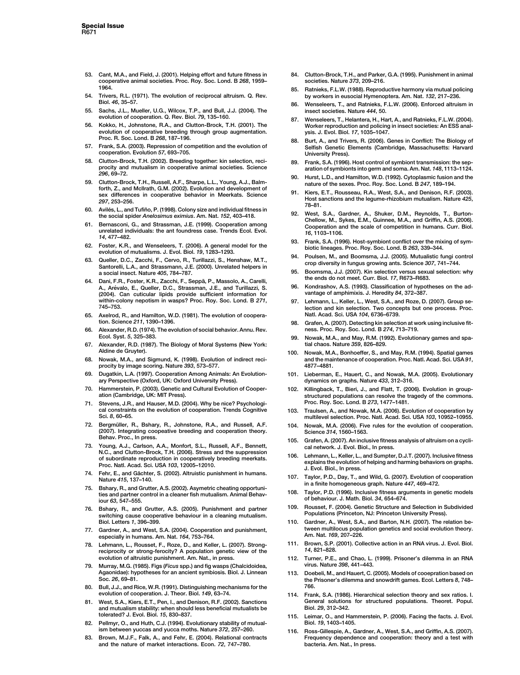- <span id="page-10-0"></span>53. Cant, M.A., and Field, J. (2001). Helping effort and future fitness in cooperative animal societies. Proc. Roy. Soc. Lond. B 268, 1959– 1964.
- 54. Trivers, R.L. (1971). The evolution of reciprocal altruism. Q. Rev. Biol. 46, 35–57.
- 55. Sachs, J.L., Mueller, U.G., Wilcox, T.P., and Bull, J.J. (2004). The evolution of cooperation. Q. Rev. Biol. 79, 135–160.
- 56. Kokko, H., Johnstone, R.A., and Clutton-Brock, T.H. (2001). The evolution of cooperative breeding through group augmentation. Proc. R. Soc. Lond. B 268, 187–196.
- 57. Frank, S.A. (2003). Repression of competition and the evolution of cooperation. Evolution 57, 693–705.
- 58. Clutton-Brock, T.H. (2002). Breeding together: kin selection, reciprocity and mutualism in cooperative animal societies. Science 296, 69–72.
- 59. Clutton-Brock, T.H., Russell, A.F., Sharpe, L.L., Young, A.J., Balmforth, Z., and Mcllrath, G.M. (2002). Evolution and development of sex differences in cooperative behavior in Meerkats. Science 297, 253–256.
- 60. Avilés, L., and Tufiño, P. (1998). Colony size and individual fitness in the social spider Anelosimus eximius. Am. Nat. 152, 403–418.
- 61. Bernasconi, G., and Strassman, J.E. (1999). Cooperation among unrelated individuals: the ant foundress case. Trends Ecol. Evol. 14, 477–482.
- 62. Foster, K.R., and Wenseleers, T. (2006). A general model for the evolution of mutualisms. J. Evol. Biol. 19, 1283–1293.
- 63. Queller, D.C., Zacchi, F., Cervo, R., Turillazzi, S., Henshaw, M.T., Santorelli, L.A., and Strassmann, J.E. (2000). Unrelated helpers in a social insect. Nature 405, 784–787.
- 64. Dani, F.R., Foster, K.R., Zacchi, F., Seppä, P., Massolo, A., Carelli, A., Arévalo, E., Queller, D.C., Strassman, J.E., and Turillazzi, S. (2004). Can cuticular lipids provide sufficient information for within-colony nepotism in wasps? Proc. Roy. Soc. Lond. B 271, 745–753.
- 65. Axelrod, R., and Hamilton, W.D. (1981). The evolution of cooperation. Science 211, 1390–1396.
- 66. Alexander, R.D. (1974). The evolution of social behavior. Annu. Rev. Ecol. Syst. 5, 325–383.
- 67. Alexander, R.D. (1987). The Biology of Moral Systems (New York: Aldine de Gruyter).
- 68. Nowak, M.A., and Sigmund, K. (1998). Evolution of indirect reciprocity by image scoring. Nature 393, 573–577.
- 69. Dugatkin, L.A. (1997). Cooperation Among Animals: An Evolutionary Perspective (Oxford, UK: Oxford University Press).
- 70. Hammerstein, P. (2003). Genetic and Cultural Evolution of Cooperation (Cambridge, UK: MIT Press).
- 71. Stevens, J.R., and Hauser, M.D. (2004). Why be nice? Psychological constraints on the evolution of cooperation. Trends Cognitive Sci. 8, 60–65.
- 72. Bergmüller, R., Bshary, R., Johnstone, R.A., and Russell, A.F. (2007). Integrating coopeative breeding and cooperation theory. Behav. Proc., In press.
- 73. Young, A.J., Carlson, A.A., Monfort, S.L., Russell, A.F., Bennett, N.C., and Clutton-Brock, T.H. (2006). Stress and the suppression of subordinate reproduction in cooperatively breeding meerkats. Proc. Natl. Acad. Sci. USA 103, 12005–12010.
- 74. Fehr, E., and Gächter, S. (2002). Altruistic punishment in humans. Nature 415, 137–140.
- 75. Bshary, R., and Grutter, A.S. (2002). Asymetric cheating opportunities and partner control in a cleaner fish mutualism. Animal Behaviour 63, 547–555.
- 76. Bshary, R., and Grutter, A.S. (2005). Punishment and partner switching cause cooperative behaviour in a cleaning mutualism. Biol. Letters 1, 396–399.
- 77. Gardner, A., and West, S.A. (2004). Cooperation and punishment, especially in humans. Am. Nat. 164, 753–764.
- 78. Lehmann, L., Rousset, F., Roze, D., and Keller, L. (2007). Strongreciprocity or strong-ferocity? A population genetic view of the evolution of altruistic punishment. Am. Nat., in press.
- 79. Murray, M.G. (1985). Figs (Ficus spp.) and fig wasps (Chalcidoidea, Agaonidae): hypotheses for an ancient symbiosis. Biol. J. Linnean Soc. 26, 69–81.
- 80. Bull, J.J., and Rice, W.R. (1991). Distinguishing mechanisms for the evolution of cooperation. J. Theor. Biol. 149, 63–74.
- 81. West, S.A., Kiers, E.T., Pen, I., and Denison, R.F. (2002). Sanctions and mutualism stability: when should less beneficial mutualists be tolerated? J. Evol. Biol. 15, 830–837.
- 82. Pellmyr, O., and Huth, C.J. (1994). Evolutionary stability of mutualism between yuccas and yucca moths. Nature 372, 257–260.
- 83. Brown, M.J.F., Falk, A., and Fehr, E. (2004). Relational contracts and the nature of market interactions. Econ. 72, 747–780.
- 84. Clutton-Brock, T.H., and Parker, G.A. (1995). Punishment in animal societies. Nature 373, 209–216.
- 85. Ratnieks, F.L.W. (1988). Reproductive harmony via mutual policing by workers in eusocial Hymenoptera. Am. Nat. 132, 217–236.
- 86. Wenseleers, T., and Ratnieks, F.L.W. (2006). Enforced altruism in insect societies. Nature 444, 50.
- 87. Wenseleers, T., Helantera, H., Hart, A., and Ratnieks, F.L.W. (2004). Worker reproduction and policing in insect societies: An ESS analysis. J. Evol. Biol. 17, 1035–1047.
- 88. Burt, A., and Trivers, R. (2006). Genes in Conflict: The Biology of Selfish Genetic Elements (Cambridge, Massachusetts: Harvard University Press).
- 89. Frank, S.A. (1996). Host control of symbiont transmission: the separation of symbionts into germ and soma. Am. Nat. 148, 1113–1124.
- 90. Hurst, L.D., and Hamilton, W.D. (1992). Cytoplasmic fusion and the nature of the sexes. Proc. Roy. Soc. Lond. B 247, 189–194.
- 91. Kiers, E.T., Rousseau, R.A., West, S.A., and Denison, R.F. (2003). Host sanctions and the legume-rhizobium mutualism. Nature 425, 78–81.
- 92. West, S.A., Gardner, A., Shuker, D.M., Reynolds, T., Burton-Chellow, M., Sykes, E.M., Guinnee, M.A., and Griffin, A.S. (2006). Cooperation and the scale of competition in humans. Curr. Biol. 16, 1103–1106.
- 93. Frank, S.A. (1996). Host-symbiont conflict over the mixing of symbiotic lineages. Proc. Roy. Soc. Lond. B 263, 339–344.
- 94. Poulsen, M., and Boomsma, J.J. (2005). Mutualistic fungi control crop diversity in fungus growing ants. Science 307, 741–744.
- 95. Boomsma, J.J. (2007). Kin selection versus sexual selection: why the ends do not meet. Curr. Biol. 17, R673–R683.
- 96. Kondrashov, A.S. (1993). Classification of hypotheses on the advantage of amphimixis. J. Heredity 84, 372–387.
- 97. Lehmann, L., Keller, L., West, S.A., and Roze, D. (2007). Group selection and kin selection. Two concepts but one process. Proc. Natl. Acad. Sci. USA 104, 6736–6739.
- 98. Grafen, A. (2007). Detecting kin selection at work using inclusive fitness. Proc. Roy. Soc. Lond. B 274, 713–719.
- 99. Nowak, M.A., and May, R.M. (1992). Evolutionary games and spatial chaos. Nature 359, 826–829.
- 100. Nowak, M.A., Bonhoeffer, S., and May, R.M. (1994). Spatial games and the maintenance of cooperation. Proc. Natl. Acad. Sci. USA 91, 4877–4881.
- 101. Lieberman, E., Hauert, C., and Nowak, M.A. (2005). Evolutionary dynamics on graphs. Nature 433, 312–316.
- Killingback, T., Bieri, J., and Flatt, T. (2006). Evolution in groupstructured populations can resolve the tragedy of the commons. Proc. Roy. Soc. Lond. B 273, 1477–1481.
- Traulsen, A., and Nowak, M.A. (2006). Evolution of cooperation by multilevel selection. Proc. Natl. Acad. Sci. USA 103, 10952–10955.
- 104. Nowak, M.A. (2006). Five rules for the evolution of cooperation. Science 314, 1560–1563.
- 105. Grafen, A. (2007). An inclusive fitness analysis of altruism on a cyclical network. J. Evol. Biol., In press.
- 106. Lehmann, L., Keller, L., and Sumpter, D.J.T. (2007). Inclusive fitness explains the evolution of helping and harming behaviors on graphs. J. Evol. Biol., In press.
- 107. Taylor, P.D., Day, T., and Wild, G. (2007). Evolution of cooperation in a finite homogeneous graph. Nature 447, 469–472.
- 108. Taylor, P.D. (1996). Inclusive fitness arguments in genetic models of behaviour. J. Math. Biol. 34, 654–674.
- 109. Rousset, F. (2004). Genetic Structure and Selection in Subdivided Populations (Princeton, NJ: Princeton University Press).
- 110. Gardner, A., West, S.A., and Barton, N.H. (2007). The relation between multilocus population genetics and social evolution theory. Am. Nat. 169, 207–226.
- 111. Brown, S.P. (2001). Collective action in an RNA virus. J. Evol. Biol. 14, 821–828.
- 112. Turner, P.E., and Chao, L. (1999). Prisoner's dilemma in an RNA virus. Nature 398, 441–443.
- 113. Doebeli, M., and Hauert, C. (2005). Models of cooepration based on the Prisoner's dilemma and snowdrift games. Ecol. Letters 8, 748– 766.
- 114. Frank, S.A. (1986). Hierarchical selection theory and sex ratios. I. General solutions for structured populations. Theoret. Popul. Biol. 29, 312–342.
- Leimar, O., and Hammerstein, P. (2006). Facing the facts. J. Evol. Biol. 19, 1403–1405.
- 116. Ross-Gillespie, A., Gardner, A., West, S.A., and Griffin, A.S. (2007). Frequency dependence and cooperation: theory and a test with bacteria. Am. Nat., In press.